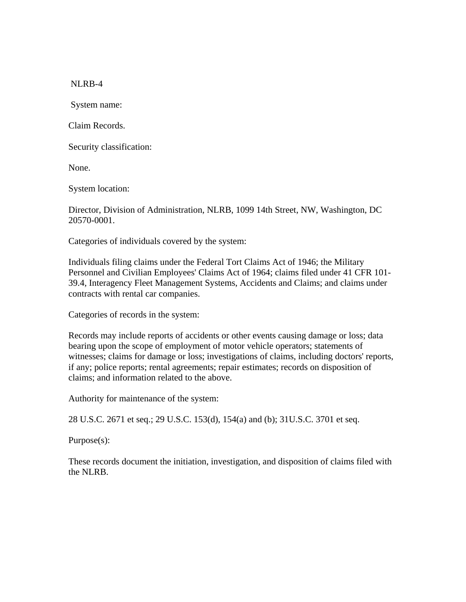NLRB-4

System name:

Claim Records.

Security classification:

None.

System location:

Director, Division of Administration, NLRB, 1099 14th Street, NW, Washington, DC 20570-0001.

Categories of individuals covered by the system:

Individuals filing claims under the Federal Tort Claims Act of 1946; the Military Personnel and Civilian Employees' Claims Act of 1964; claims filed under 41 CFR 101- 39.4, Interagency Fleet Management Systems, Accidents and Claims; and claims under contracts with rental car companies.

Categories of records in the system:

Records may include reports of accidents or other events causing damage or loss; data bearing upon the scope of employment of motor vehicle operators; statements of witnesses; claims for damage or loss; investigations of claims, including doctors' reports, if any; police reports; rental agreements; repair estimates; records on disposition of claims; and information related to the above.

Authority for maintenance of the system:

28 U.S.C. 2671 et seq.; 29 U.S.C. 153(d), 154(a) and (b); 31U.S.C. 3701 et seq.

Purpose(s):

These records document the initiation, investigation, and disposition of claims filed with the NLRB.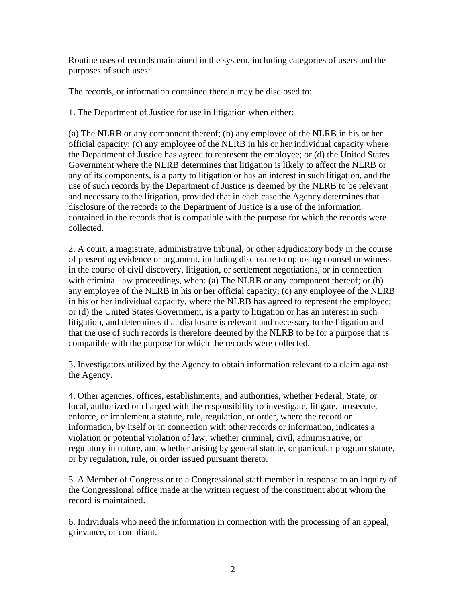Routine uses of records maintained in the system, including categories of users and the purposes of such uses:

The records, or information contained therein may be disclosed to:

1. The Department of Justice for use in litigation when either:

(a) The NLRB or any component thereof; (b) any employee of the NLRB in his or her official capacity; (c) any employee of the NLRB in his or her individual capacity where the Department of Justice has agreed to represent the employee; or (d) the United States Government where the NLRB determines that litigation is likely to affect the NLRB or any of its components, is a party to litigation or has an interest in such litigation, and the use of such records by the Department of Justice is deemed by the NLRB to be relevant and necessary to the litigation, provided that in each case the Agency determines that disclosure of the records to the Department of Justice is a use of the information contained in the records that is compatible with the purpose for which the records were collected.

2. A court, a magistrate, administrative tribunal, or other adjudicatory body in the course of presenting evidence or argument, including disclosure to opposing counsel or witness in the course of civil discovery, litigation, or settlement negotiations, or in connection with criminal law proceedings, when: (a) The NLRB or any component thereof; or (b) any employee of the NLRB in his or her official capacity; (c) any employee of the NLRB in his or her individual capacity, where the NLRB has agreed to represent the employee; or (d) the United States Government, is a party to litigation or has an interest in such litigation, and determines that disclosure is relevant and necessary to the litigation and that the use of such records is therefore deemed by the NLRB to be for a purpose that is compatible with the purpose for which the records were collected.

3. Investigators utilized by the Agency to obtain information relevant to a claim against the Agency.

4. Other agencies, offices, establishments, and authorities, whether Federal, State, or local, authorized or charged with the responsibility to investigate, litigate, prosecute, enforce, or implement a statute, rule, regulation, or order, where the record or information, by itself or in connection with other records or information, indicates a violation or potential violation of law, whether criminal, civil, administrative, or regulatory in nature, and whether arising by general statute, or particular program statute, or by regulation, rule, or order issued pursuant thereto.

5. A Member of Congress or to a Congressional staff member in response to an inquiry of the Congressional office made at the written request of the constituent about whom the record is maintained.

6. Individuals who need the information in connection with the processing of an appeal, grievance, or compliant.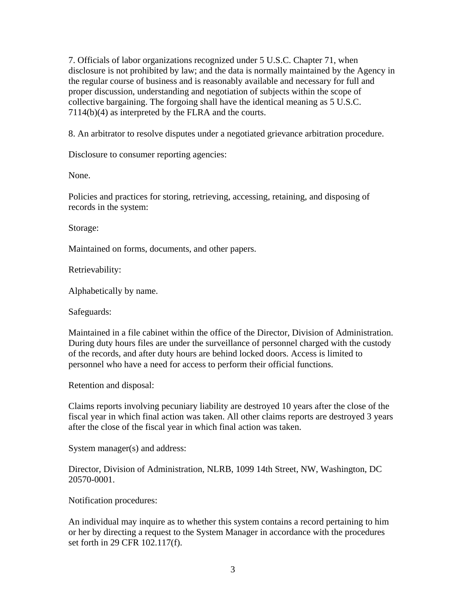7. Officials of labor organizations recognized under 5 U.S.C. Chapter 71, when disclosure is not prohibited by law; and the data is normally maintained by the Agency in the regular course of business and is reasonably available and necessary for full and proper discussion, understanding and negotiation of subjects within the scope of collective bargaining. The forgoing shall have the identical meaning as 5 U.S.C. 7114(b)(4) as interpreted by the FLRA and the courts.

8. An arbitrator to resolve disputes under a negotiated grievance arbitration procedure.

Disclosure to consumer reporting agencies:

None.

Policies and practices for storing, retrieving, accessing, retaining, and disposing of records in the system:

Storage:

Maintained on forms, documents, and other papers.

Retrievability:

Alphabetically by name.

Safeguards:

Maintained in a file cabinet within the office of the Director, Division of Administration. During duty hours files are under the surveillance of personnel charged with the custody of the records, and after duty hours are behind locked doors. Access is limited to personnel who have a need for access to perform their official functions.

Retention and disposal:

Claims reports involving pecuniary liability are destroyed 10 years after the close of the fiscal year in which final action was taken. All other claims reports are destroyed 3 years after the close of the fiscal year in which final action was taken.

System manager(s) and address:

Director, Division of Administration, NLRB, 1099 14th Street, NW, Washington, DC 20570-0001.

Notification procedures:

An individual may inquire as to whether this system contains a record pertaining to him or her by directing a request to the System Manager in accordance with the procedures set forth in 29 CFR 102.117(f).